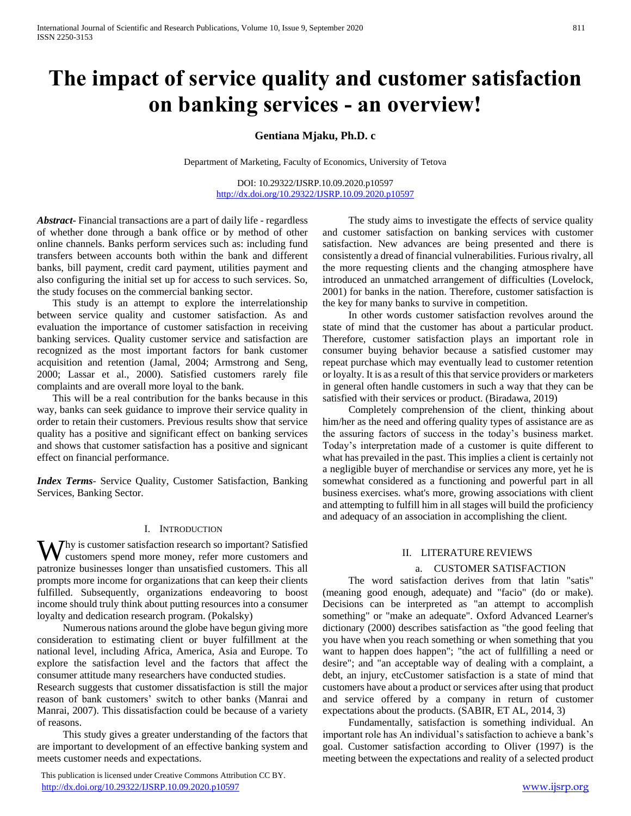# **The impact of service quality and customer satisfaction on banking services - an overview!**

**Gentiana Mjaku, Ph.D. c**

Department of Marketing, Faculty of Economics, University of Tetova

DOI: 10.29322/IJSRP.10.09.2020.p10597 <http://dx.doi.org/10.29322/IJSRP.10.09.2020.p10597>

*Abstract***-** Financial transactions are a part of daily life - regardless of whether done through a bank office or by method of other online channels. Banks perform services such as: including fund transfers between accounts both within the bank and different banks, bill payment, credit card payment, utilities payment and also configuring the initial set up for access to such services. So, the study focuses on the commercial banking sector.

 This study is an attempt to explore the interrelationship between service quality and customer satisfaction. As and evaluation the importance of customer satisfaction in receiving banking services. Quality customer service and satisfaction are recognized as the most important factors for bank customer acquisition and retention (Jamal, 2004; Armstrong and Seng, 2000; Lassar et al., 2000). Satisfied customers rarely file complaints and are overall more loyal to the bank.

 This will be a real contribution for the banks because in this way, banks can seek guidance to improve their service quality in order to retain their customers. Previous results show that service quality has a positive and significant effect on banking services and shows that customer satisfaction has a positive and signicant effect on financial performance.

*Index Terms*- Service Quality, Customer Satisfaction, Banking Services, Banking Sector.

## I. INTRODUCTION

hy is customer satisfaction research so important? Satisfied Why is customer satisfaction research so important? Satisfied<br>customers spend more money, refer more customers and patronize businesses longer than unsatisfied customers. This all prompts more income for organizations that can keep their clients fulfilled. Subsequently, organizations endeavoring to boost income should truly think about putting resources into a consumer loyalty and dedication research program. (Pokalsky)

 Numerous nations around the globe have begun giving more consideration to estimating client or buyer fulfillment at the national level, including Africa, America, Asia and Europe. To explore the satisfaction level and the factors that affect the consumer attitude many researchers have conducted studies.

Research suggests that customer dissatisfaction is still the major reason of bank customers' switch to other banks (Manrai and Manrai, 2007). This dissatisfaction could be because of a variety of reasons.

 This study gives a greater understanding of the factors that are important to development of an effective banking system and meets customer needs and expectations.

 This publication is licensed under Creative Commons Attribution CC BY. <http://dx.doi.org/10.29322/IJSRP.10.09.2020.p10597> [www.ijsrp.org](http://ijsrp.org/)

 The study aims to investigate the effects of service quality and customer satisfaction on banking services with customer satisfaction. New advances are being presented and there is consistently a dread of financial vulnerabilities. Furious rivalry, all the more requesting clients and the changing atmosphere have introduced an unmatched arrangement of difficulties (Lovelock, 2001) for banks in the nation. Therefore, customer satisfaction is the key for many banks to survive in competition.

 In other words customer satisfaction revolves around the state of mind that the customer has about a particular product. Therefore, customer satisfaction plays an important role in consumer buying behavior because a satisfied customer may repeat purchase which may eventually lead to customer retention or loyalty. It is as a result of this that service providers or marketers in general often handle customers in such a way that they can be satisfied with their services or product. (Biradawa, 2019)

 Completely comprehension of the client, thinking about him/her as the need and offering quality types of assistance are as the assuring factors of success in the today's business market. Today's interpretation made of a customer is quite different to what has prevailed in the past. This implies a client is certainly not a negligible buyer of merchandise or services any more, yet he is somewhat considered as a functioning and powerful part in all business exercises. what's more, growing associations with client and attempting to fulfill him in all stages will build the proficiency and adequacy of an association in accomplishing the client.

### II. LITERATURE REVIEWS

## a. CUSTOMER SATISFACTION

 The word satisfaction derives from that latin "satis" (meaning good enough, adequate) and "facio" (do or make). Decisions can be interpreted as "an attempt to accomplish something" or "make an adequate". Oxford Advanced Learner's dictionary (2000) describes satisfaction as "the good feeling that you have when you reach something or when something that you want to happen does happen"; "the act of fullfilling a need or desire"; and "an acceptable way of dealing with a complaint, a debt, an injury, etcCustomer satisfaction is a state of mind that customers have about a product or services after using that product and service offered by a company in return of customer expectations about the products. (SABIR, ET AL, 2014, 3)

 Fundamentally, satisfaction is something individual. An important role has An individual's satisfaction to achieve a bank's goal. Customer satisfaction according to Oliver (1997) is the meeting between the expectations and reality of a selected product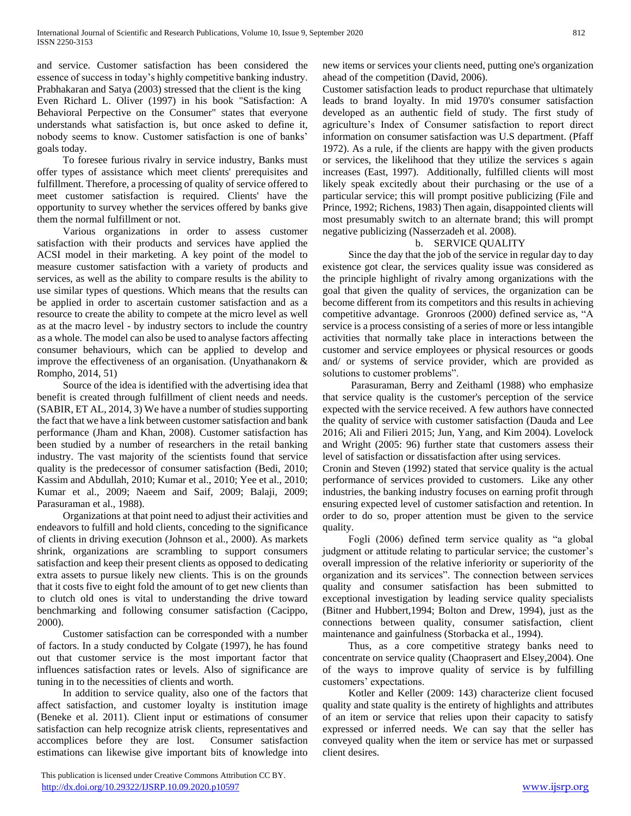and service. Customer satisfaction has been considered the essence of success in today's highly competitive banking industry. Prabhakaran and Satya (2003) stressed that the client is the king Even Richard L. Oliver (1997) in his book "Satisfaction: A Behavioral Perpective on the Consumer" states that everyone understands what satisfaction is, but once asked to define it, nobody seems to know. Customer satisfaction is one of banks' goals today.

 To foresee furious rivalry in service industry, Banks must offer types of assistance which meet clients' prerequisites and fulfillment. Therefore, a processing of quality of service offered to meet customer satisfaction is required. Clients' have the opportunity to survey whether the services offered by banks give them the normal fulfillment or not.

 Various organizations in order to assess customer satisfaction with their products and services have applied the ACSI model in their marketing. A key point of the model to measure customer satisfaction with a variety of products and services, as well as the ability to compare results is the ability to use similar types of questions. Which means that the results can be applied in order to ascertain customer satisfaction and as a resource to create the ability to compete at the micro level as well as at the macro level - by industry sectors to include the country as a whole. The model can also be used to analyse factors affecting consumer behaviours, which can be applied to develop and improve the effectiveness of an organisation. (Unyathanakorn & Rompho, 2014, 51)

 Source of the idea is identified with the advertising idea that benefit is created through fulfillment of client needs and needs. (SABIR, ET AL, 2014, 3) We have a number of studies supporting the fact that we have a link between customer satisfaction and bank performance (Jham and Khan, 2008). Customer satisfaction has been studied by a number of researchers in the retail banking industry. The vast majority of the scientists found that service quality is the predecessor of consumer satisfaction (Bedi, 2010; Kassim and Abdullah, 2010; Kumar et al., 2010; Yee et al., 2010; Kumar et al., 2009; Naeem and Saif, 2009; Balaji, 2009; Parasuraman et al., 1988).

 Organizations at that point need to adjust their activities and endeavors to fulfill and hold clients, conceding to the significance of clients in driving execution (Johnson et al., 2000). As markets shrink, organizations are scrambling to support consumers satisfaction and keep their present clients as opposed to dedicating extra assets to pursue likely new clients. This is on the grounds that it costs five to eight fold the amount of to get new clients than to clutch old ones is vital to understanding the drive toward benchmarking and following consumer satisfaction (Cacippo, 2000).

 Customer satisfaction can be corresponded with a number of factors. In a study conducted by Colgate (1997), he has found out that customer service is the most important factor that influences satisfaction rates or levels. Also of significance are tuning in to the necessities of clients and worth.

 In addition to service quality, also one of the factors that affect satisfaction, and customer loyalty is institution image (Beneke et al. 2011). Client input or estimations of consumer satisfaction can help recognize atrisk clients, representatives and accomplices before they are lost. Consumer satisfaction estimations can likewise give important bits of knowledge into

 This publication is licensed under Creative Commons Attribution CC BY. <http://dx.doi.org/10.29322/IJSRP.10.09.2020.p10597> [www.ijsrp.org](http://ijsrp.org/)

new items or services your clients need, putting one's organization ahead of the competition (David, 2006).

Customer satisfaction leads to product repurchase that ultimately leads to brand loyalty. In mid 1970's consumer satisfaction developed as an authentic field of study. The first study of agriculture's Index of Consumer satisfaction to report direct information on consumer satisfaction was U.S department. (Pfaff 1972). As a rule, if the clients are happy with the given products or services, the likelihood that they utilize the services s again increases (East, 1997). Additionally, fulfilled clients will most likely speak excitedly about their purchasing or the use of a particular service; this will prompt positive publicizing (File and Prince, 1992; Richens, 1983) Then again, disappointed clients will most presumably switch to an alternate brand; this will prompt negative publicizing (Nasserzadeh et al. 2008).

## b. SERVICE QUALITY

 Since the day that the job of the service in regular day to day existence got clear, the services quality issue was considered as the principle highlight of rivalry among organizations with the goal that given the quality of services, the organization can be become different from its competitors and this results in achieving competitive advantage. Gronroos (2000) defined service as, "A service is a process consisting of a series of more or less intangible activities that normally take place in interactions between the customer and service employees or physical resources or goods and/ or systems of service provider, which are provided as solutions to customer problems".

 Parasuraman, Berry and Zeithaml (1988) who emphasize that service quality is the customer's perception of the service expected with the service received. A few authors have connected the quality of service with customer satisfaction (Dauda and Lee 2016; Ali and Filieri 2015; Jun, Yang, and Kim 2004). Lovelock and Wright (2005: 96) further state that customers assess their level of satisfaction or dissatisfaction after using services.

Cronin and Steven (1992) stated that service quality is the actual performance of services provided to customers. Like any other industries, the banking industry focuses on earning profit through ensuring expected level of customer satisfaction and retention. In order to do so, proper attention must be given to the service quality.

 Fogli (2006) defined term service quality as "a global judgment or attitude relating to particular service; the customer's overall impression of the relative inferiority or superiority of the organization and its services". The connection between services quality and consumer satisfaction has been submitted to exceptional investigation by leading service quality specialists (Bitner and Hubbert,1994; Bolton and Drew, 1994), just as the connections between quality, consumer satisfaction, client maintenance and gainfulness (Storbacka et al., 1994).

 Thus, as a core competitive strategy banks need to concentrate on service quality (Chaoprasert and Elsey,2004). One of the ways to improve quality of service is by fulfilling customers' expectations.

 Kotler and Keller (2009: 143) characterize client focused quality and state quality is the entirety of highlights and attributes of an item or service that relies upon their capacity to satisfy expressed or inferred needs. We can say that the seller has conveyed quality when the item or service has met or surpassed client desires.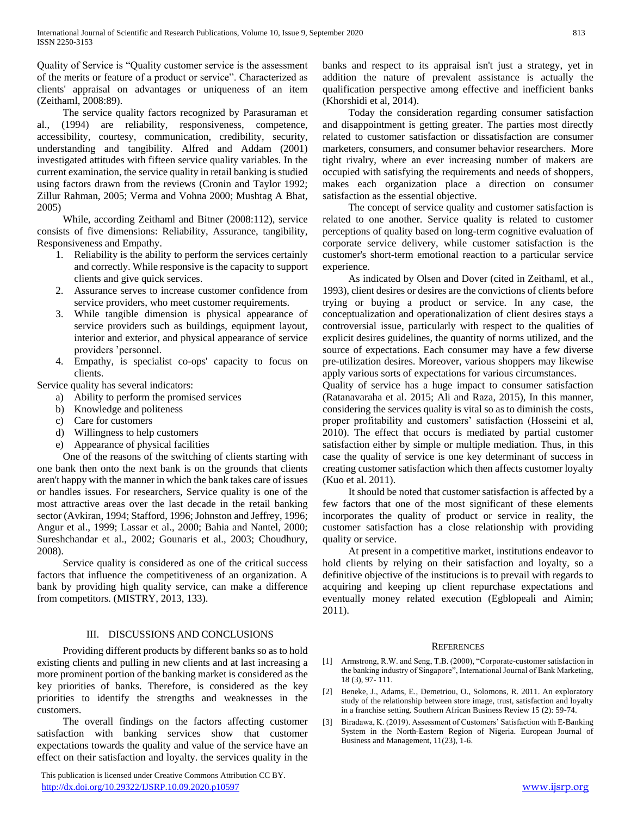Quality of Service is "Quality customer service is the assessment of the merits or feature of a product or service". Characterized as clients' appraisal on advantages or uniqueness of an item (Zeithaml, 2008:89).

 The service quality factors recognized by Parasuraman et al., (1994) are reliability, responsiveness, competence, accessibility, courtesy, communication, credibility, security, understanding and tangibility. Alfred and Addam (2001) investigated attitudes with fifteen service quality variables. In the current examination, the service quality in retail banking is studied using factors drawn from the reviews (Cronin and Taylor 1992; Zillur Rahman, 2005; Verma and Vohna 2000; Mushtag A Bhat, 2005)

 While, according Zeithaml and Bitner (2008:112), service consists of five dimensions: Reliability, Assurance, tangibility, Responsiveness and Empathy.

- 1. Reliability is the ability to perform the services certainly and correctly. While responsive is the capacity to support clients and give quick services.
- 2. Assurance serves to increase customer confidence from service providers, who meet customer requirements.
- 3. While tangible dimension is physical appearance of service providers such as buildings, equipment layout, interior and exterior, and physical appearance of service providers 'personnel.
- 4. Empathy, is specialist co-ops' capacity to focus on clients.

Service quality has several indicators:

- a) Ability to perform the promised services
- b) Knowledge and politeness
- c) Care for customers
- d) Willingness to help customers
- e) Appearance of physical facilities

 One of the reasons of the switching of clients starting with one bank then onto the next bank is on the grounds that clients aren't happy with the manner in which the bank takes care of issues or handles issues. For researchers, Service quality is one of the most attractive areas over the last decade in the retail banking sector (Avkiran, 1994; Stafford, 1996; Johnston and Jeffrey, 1996; Angur et al., 1999; Lassar et al., 2000; Bahia and Nantel, 2000; Sureshchandar et al., 2002; Gounaris et al., 2003; Choudhury, 2008).

 Service quality is considered as one of the critical success factors that influence the competitiveness of an organization. A bank by providing high quality service, can make a difference from competitors. (MISTRY, 2013, 133).

# III. DISCUSSIONS AND CONCLUSIONS

 Providing different products by different banks so as to hold existing clients and pulling in new clients and at last increasing a more prominent portion of the banking market is considered as the key priorities of banks. Therefore, is considered as the key priorities to identify the strengths and weaknesses in the customers.

 The overall findings on the factors affecting customer satisfaction with banking services show that customer expectations towards the quality and value of the service have an effect on their satisfaction and loyalty. the services quality in the

 This publication is licensed under Creative Commons Attribution CC BY. <http://dx.doi.org/10.29322/IJSRP.10.09.2020.p10597> [www.ijsrp.org](http://ijsrp.org/)

banks and respect to its appraisal isn't just a strategy, yet in addition the nature of prevalent assistance is actually the qualification perspective among effective and inefficient banks (Khorshidi et al, 2014).

 Today the consideration regarding consumer satisfaction and disappointment is getting greater. The parties most directly related to customer satisfaction or dissatisfaction are consumer marketers, consumers, and consumer behavior researchers. More tight rivalry, where an ever increasing number of makers are occupied with satisfying the requirements and needs of shoppers, makes each organization place a direction on consumer satisfaction as the essential objective.

 The concept of service quality and customer satisfaction is related to one another. Service quality is related to customer perceptions of quality based on long-term cognitive evaluation of corporate service delivery, while customer satisfaction is the customer's short-term emotional reaction to a particular service experience.

 As indicated by Olsen and Dover (cited in Zeithaml, et al., 1993), client desires or desires are the convictions of clients before trying or buying a product or service. In any case, the conceptualization and operationalization of client desires stays a controversial issue, particularly with respect to the qualities of explicit desires guidelines, the quantity of norms utilized, and the source of expectations. Each consumer may have a few diverse pre-utilization desires. Moreover, various shoppers may likewise apply various sorts of expectations for various circumstances.

Quality of service has a huge impact to consumer satisfaction (Ratanavaraha et al. 2015; Ali and Raza, 2015), In this manner, considering the services quality is vital so as to diminish the costs, proper profitability and customers' satisfaction (Hosseini et al, 2010). The effect that occurs is mediated by partial customer satisfaction either by simple or multiple mediation. Thus, in this case the quality of service is one key determinant of success in creating customer satisfaction which then affects customer loyalty (Kuo et al. 2011).

 It should be noted that customer satisfaction is affected by a few factors that one of the most significant of these elements incorporates the quality of product or service in reality, the customer satisfaction has a close relationship with providing quality or service.

 At present in a competitive market, institutions endeavor to hold clients by relying on their satisfaction and loyalty, so a definitive objective of the institucions is to prevail with regards to acquiring and keeping up client repurchase expectations and eventually money related execution (Egblopeali and Aimin; 2011).

### **REFERENCES**

- [1] Armstrong, R.W. and Seng, T.B. (2000), "Corporate-customer satisfaction in the banking industry of Singapore", International Journal of Bank Marketing, 18 (3), 97- 111.
- [2] Beneke, J., Adams, E., Demetriou, O., Solomons, R. 2011. An exploratory study of the relationship between store image, trust, satisfaction and loyalty in a franchise setting. Southern African Business Review 15 (2): 59-74.
- [3] Biradawa, K. (2019). Assessment of Customers' Satisfaction with E-Banking System in the North-Eastern Region of Nigeria. European Journal of Business and Management, 11(23), 1-6.